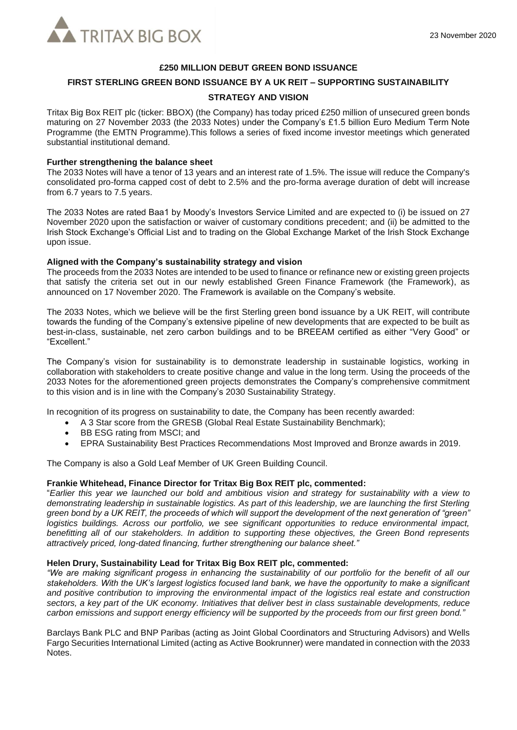

# **£250 MILLION DEBUT GREEN BOND ISSUANCE**

# **FIRST STERLING GREEN BOND ISSUANCE BY A UK REIT – SUPPORTING SUSTAINABILITY**

### **STRATEGY AND VISION**

Tritax Big Box REIT plc (ticker: BBOX) (the Company) has today priced £250 million of unsecured green bonds maturing on 27 November 2033 (the 2033 Notes) under the Company's £1.5 billion Euro Medium Term Note Programme (the EMTN Programme).This follows a series of fixed income investor meetings which generated substantial institutional demand.

# **Further strengthening the balance sheet**

The 2033 Notes will have a tenor of 13 years and an interest rate of 1.5%. The issue will reduce the Company's consolidated pro-forma capped cost of debt to 2.5% and the pro-forma average duration of debt will increase from 6.7 years to 7.5 years.

The 2033 Notes are rated Baa1 by Moody's Investors Service Limited and are expected to (i) be issued on 27 November 2020 upon the satisfaction or waiver of customary conditions precedent; and (ii) be admitted to the Irish Stock Exchange's Official List and to trading on the Global Exchange Market of the Irish Stock Exchange upon issue.

#### **Aligned with the Company's sustainability strategy and vision**

The proceeds from the 2033 Notes are intended to be used to finance or refinance new or existing green projects that satisfy the criteria set out in our newly established Green Finance Framework (the Framework), as announced on 17 November 2020. The Framework is available on the Company's website.

The 2033 Notes, which we believe will be the first Sterling green bond issuance by a UK REIT, will contribute towards the funding of the Company's extensive pipeline of new developments that are expected to be built as best-in-class, sustainable, net zero carbon buildings and to be BREEAM certified as either "Very Good" or "Excellent."

The Company's vision for sustainability is to demonstrate leadership in sustainable logistics, working in collaboration with stakeholders to create positive change and value in the long term. Using the proceeds of the 2033 Notes for the aforementioned green projects demonstrates the Company's comprehensive commitment to this vision and is in line with the Company's 2030 Sustainability Strategy.

In recognition of its progress on sustainability to date, the Company has been recently awarded:

- A 3 Star score from the GRESB (Global Real Estate Sustainability Benchmark);
- BB ESG rating from MSCI; and
- EPRA Sustainability Best Practices Recommendations Most Improved and Bronze awards in 2019.

The Company is also a Gold Leaf Member of UK Green Building Council.

#### **Frankie Whitehead, Finance Director for Tritax Big Box REIT plc, commented:**

"*Earlier this year we launched our bold and ambitious vision and strategy for sustainability with a view to demonstrating leadership in sustainable logistics. As part of this leadership, we are launching the first Sterling green bond by a UK REIT, the proceeds of which will support the development of the next generation of "green" logistics buildings. Across our portfolio, we see significant opportunities to reduce environmental impact, benefitting all of our stakeholders. In addition to supporting these objectives, the Green Bond represents attractively priced, long-dated financing, further strengthening our balance sheet."*

#### **Helen Drury, Sustainability Lead for Tritax Big Box REIT plc, commented:**

*"We are making significant progess in enhancing the sustainability of our portfolio for the benefit of all our stakeholders. With the UK's largest logistics focused land bank, we have the opportunity to make a significant and positive contribution to improving the environmental impact of the logistics real estate and construction sectors, a key part of the UK economy. Initiatives that deliver best in class sustainable developments, reduce carbon emissions and support energy efficiency will be supported by the proceeds from our first green bond."*

Barclays Bank PLC and BNP Paribas (acting as Joint Global Coordinators and Structuring Advisors) and Wells Fargo Securities International Limited (acting as Active Bookrunner) were mandated in connection with the 2033 **Notes**